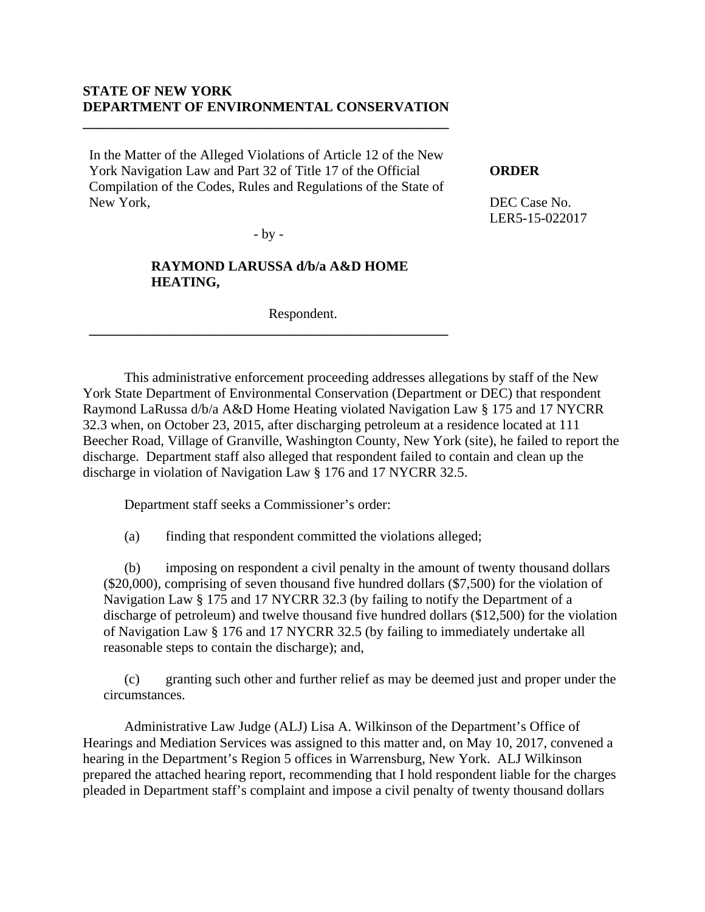## **STATE OF NEW YORK DEPARTMENT OF ENVIRONMENTAL CONSERVATION**

**\_\_\_\_\_\_\_\_\_\_\_\_\_\_\_\_\_\_\_\_\_\_\_\_\_\_\_\_\_\_\_\_\_\_\_\_\_\_\_\_\_\_\_\_\_\_\_\_\_\_\_\_\_**

In the Matter of the Alleged Violations of Article 12 of the New York Navigation Law and Part 32 of Title 17 of the Official Compilation of the Codes, Rules and Regulations of the State of New York,

### **ORDER**

DEC Case No. LER5-15-022017

- by -

# **RAYMOND LARUSSA d/b/a A&D HOME HEATING,**

**\_\_\_\_\_\_\_\_\_\_\_\_\_\_\_\_\_\_\_\_\_\_\_\_\_\_\_\_\_\_\_\_\_\_\_\_\_\_\_\_\_\_\_\_\_\_\_\_\_\_\_\_**

Respondent.

 This administrative enforcement proceeding addresses allegations by staff of the New York State Department of Environmental Conservation (Department or DEC) that respondent Raymond LaRussa d/b/a A&D Home Heating violated Navigation Law § 175 and 17 NYCRR 32.3 when, on October 23, 2015, after discharging petroleum at a residence located at 111 Beecher Road, Village of Granville, Washington County, New York (site), he failed to report the discharge. Department staff also alleged that respondent failed to contain and clean up the discharge in violation of Navigation Law § 176 and 17 NYCRR 32.5.

Department staff seeks a Commissioner's order:

(a) finding that respondent committed the violations alleged;

(b) imposing on respondent a civil penalty in the amount of twenty thousand dollars (\$20,000), comprising of seven thousand five hundred dollars (\$7,500) for the violation of Navigation Law § 175 and 17 NYCRR 32.3 (by failing to notify the Department of a discharge of petroleum) and twelve thousand five hundred dollars (\$12,500) for the violation of Navigation Law § 176 and 17 NYCRR 32.5 (by failing to immediately undertake all reasonable steps to contain the discharge); and,

(c) granting such other and further relief as may be deemed just and proper under the circumstances.

Administrative Law Judge (ALJ) Lisa A. Wilkinson of the Department's Office of Hearings and Mediation Services was assigned to this matter and, on May 10, 2017, convened a hearing in the Department's Region 5 offices in Warrensburg, New York. ALJ Wilkinson prepared the attached hearing report, recommending that I hold respondent liable for the charges pleaded in Department staff's complaint and impose a civil penalty of twenty thousand dollars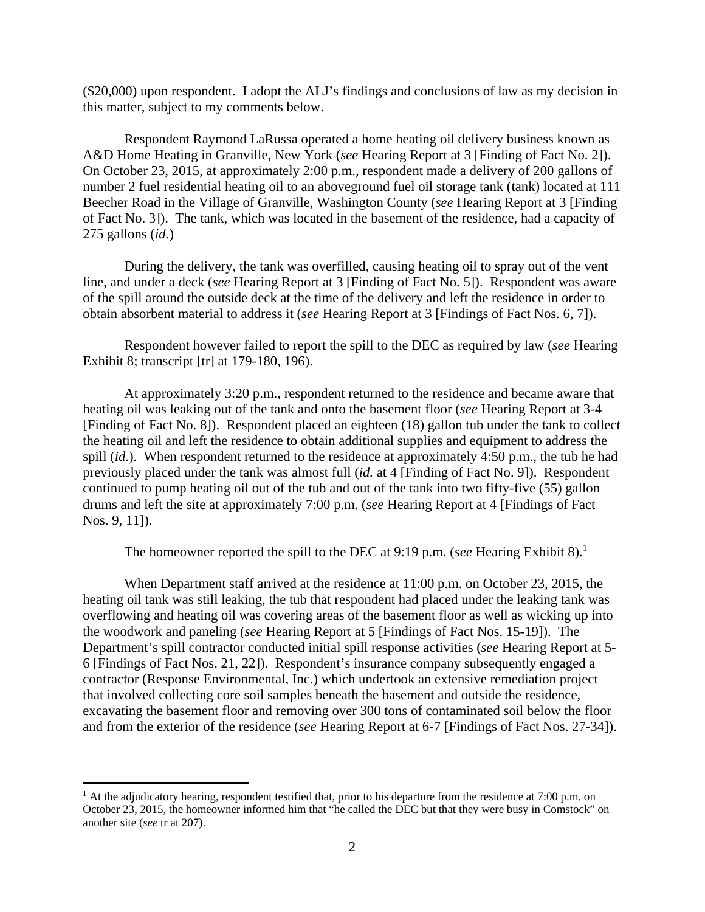(\$20,000) upon respondent. I adopt the ALJ's findings and conclusions of law as my decision in this matter, subject to my comments below.

Respondent Raymond LaRussa operated a home heating oil delivery business known as A&D Home Heating in Granville, New York (*see* Hearing Report at 3 [Finding of Fact No. 2]). On October 23, 2015, at approximately 2:00 p.m., respondent made a delivery of 200 gallons of number 2 fuel residential heating oil to an aboveground fuel oil storage tank (tank) located at 111 Beecher Road in the Village of Granville, Washington County (*see* Hearing Report at 3 [Finding of Fact No. 3]). The tank, which was located in the basement of the residence, had a capacity of 275 gallons (*id.*)

During the delivery, the tank was overfilled, causing heating oil to spray out of the vent line, and under a deck (*see* Hearing Report at 3 [Finding of Fact No. 5]). Respondent was aware of the spill around the outside deck at the time of the delivery and left the residence in order to obtain absorbent material to address it (*see* Hearing Report at 3 [Findings of Fact Nos. 6, 7]).

Respondent however failed to report the spill to the DEC as required by law (*see* Hearing Exhibit 8; transcript [tr] at 179-180, 196).

At approximately 3:20 p.m., respondent returned to the residence and became aware that heating oil was leaking out of the tank and onto the basement floor (*see* Hearing Report at 3-4 [Finding of Fact No. 8]). Respondent placed an eighteen (18) gallon tub under the tank to collect the heating oil and left the residence to obtain additional supplies and equipment to address the spill *(id.)*. When respondent returned to the residence at approximately 4:50 p.m., the tub he had previously placed under the tank was almost full (*id.* at 4 [Finding of Fact No. 9]). Respondent continued to pump heating oil out of the tub and out of the tank into two fifty-five (55) gallon drums and left the site at approximately 7:00 p.m. (*see* Hearing Report at 4 [Findings of Fact Nos. 9, 11]).

The homeowner reported the spill to the DEC at 9:19 p.m. (*see* Hearing Exhibit 8).<sup>1</sup>

When Department staff arrived at the residence at 11:00 p.m. on October 23, 2015, the heating oil tank was still leaking, the tub that respondent had placed under the leaking tank was overflowing and heating oil was covering areas of the basement floor as well as wicking up into the woodwork and paneling (*see* Hearing Report at 5 [Findings of Fact Nos. 15-19]). The Department's spill contractor conducted initial spill response activities (*see* Hearing Report at 5- 6 [Findings of Fact Nos. 21, 22]). Respondent's insurance company subsequently engaged a contractor (Response Environmental, Inc.) which undertook an extensive remediation project that involved collecting core soil samples beneath the basement and outside the residence, excavating the basement floor and removing over 300 tons of contaminated soil below the floor and from the exterior of the residence (*see* Hearing Report at 6-7 [Findings of Fact Nos. 27-34]).

1

<sup>&</sup>lt;sup>1</sup> At the adjudicatory hearing, respondent testified that, prior to his departure from the residence at 7:00 p.m. on October 23, 2015, the homeowner informed him that "he called the DEC but that they were busy in Comstock" on another site (*see* tr at 207).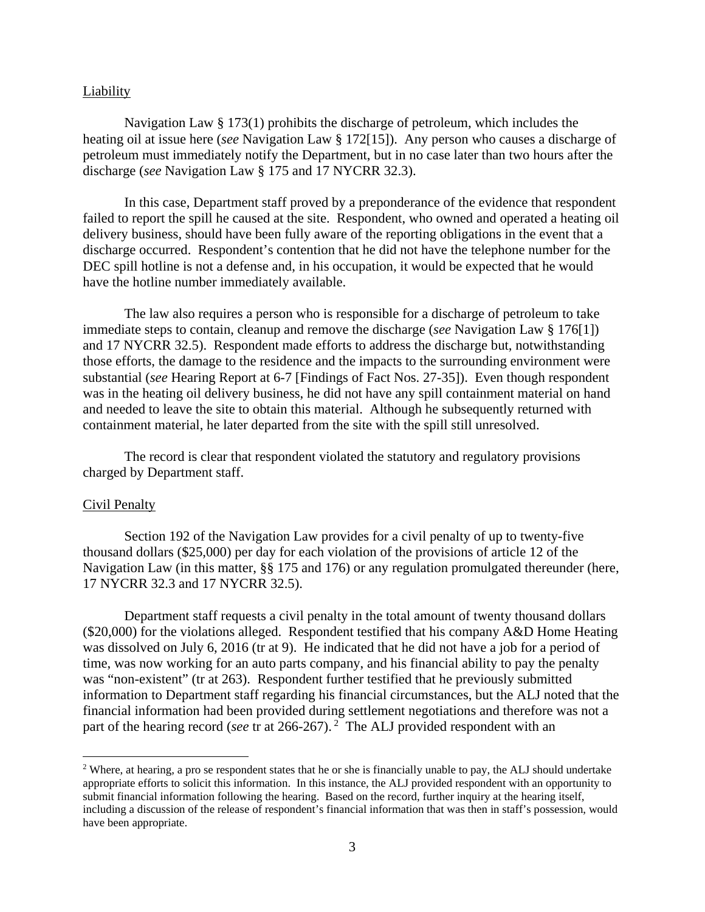#### **Liability**

Navigation Law § 173(1) prohibits the discharge of petroleum, which includes the heating oil at issue here (*see* Navigation Law § 172[15]). Any person who causes a discharge of petroleum must immediately notify the Department, but in no case later than two hours after the discharge (*see* Navigation Law § 175 and 17 NYCRR 32.3).

In this case, Department staff proved by a preponderance of the evidence that respondent failed to report the spill he caused at the site. Respondent, who owned and operated a heating oil delivery business, should have been fully aware of the reporting obligations in the event that a discharge occurred. Respondent's contention that he did not have the telephone number for the DEC spill hotline is not a defense and, in his occupation, it would be expected that he would have the hotline number immediately available.

The law also requires a person who is responsible for a discharge of petroleum to take immediate steps to contain, cleanup and remove the discharge (*see* Navigation Law § 176[1]) and 17 NYCRR 32.5). Respondent made efforts to address the discharge but, notwithstanding those efforts, the damage to the residence and the impacts to the surrounding environment were substantial (*see* Hearing Report at 6-7 [Findings of Fact Nos. 27-35]). Even though respondent was in the heating oil delivery business, he did not have any spill containment material on hand and needed to leave the site to obtain this material. Although he subsequently returned with containment material, he later departed from the site with the spill still unresolved.

The record is clear that respondent violated the statutory and regulatory provisions charged by Department staff.

#### Civil Penalty

 $\overline{a}$ 

Section 192 of the Navigation Law provides for a civil penalty of up to twenty-five thousand dollars (\$25,000) per day for each violation of the provisions of article 12 of the Navigation Law (in this matter, §§ 175 and 176) or any regulation promulgated thereunder (here, 17 NYCRR 32.3 and 17 NYCRR 32.5).

Department staff requests a civil penalty in the total amount of twenty thousand dollars (\$20,000) for the violations alleged. Respondent testified that his company A&D Home Heating was dissolved on July 6, 2016 (tr at 9). He indicated that he did not have a job for a period of time, was now working for an auto parts company, and his financial ability to pay the penalty was "non-existent" (tr at 263). Respondent further testified that he previously submitted information to Department staff regarding his financial circumstances, but the ALJ noted that the financial information had been provided during settlement negotiations and therefore was not a part of the hearing record (*see* tr at 266-267).<sup>2</sup> The ALJ provided respondent with an

<sup>&</sup>lt;sup>2</sup> Where, at hearing, a pro se respondent states that he or she is financially unable to pay, the ALJ should undertake appropriate efforts to solicit this information. In this instance, the ALJ provided respondent with an opportunity to submit financial information following the hearing. Based on the record, further inquiry at the hearing itself, including a discussion of the release of respondent's financial information that was then in staff's possession, would have been appropriate.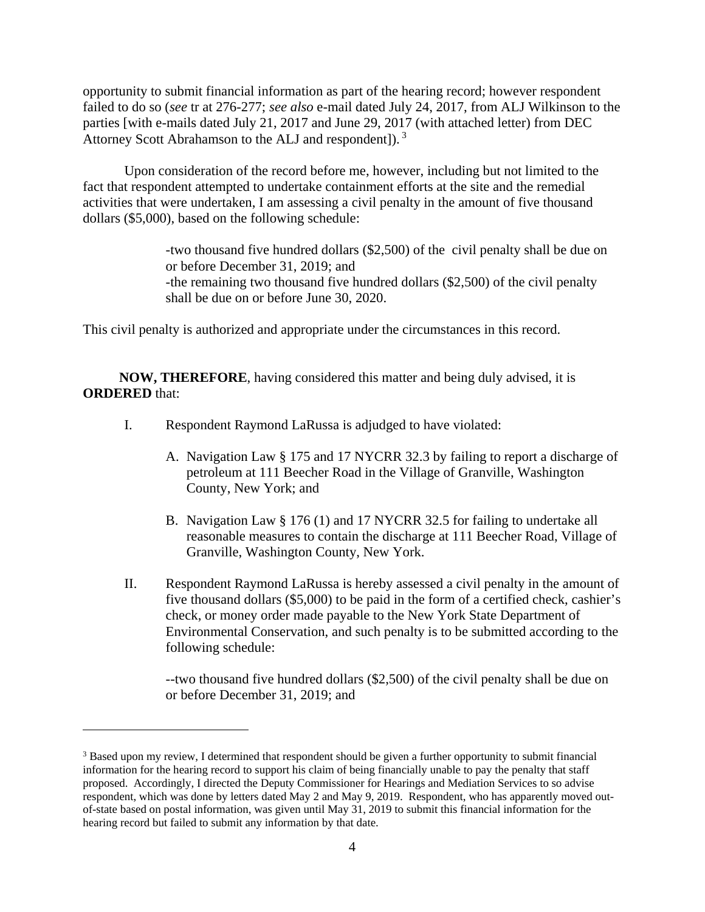opportunity to submit financial information as part of the hearing record; however respondent failed to do so (*see* tr at 276-277; *see also* e-mail dated July 24, 2017, from ALJ Wilkinson to the parties [with e-mails dated July 21, 2017 and June 29, 2017 (with attached letter) from DEC Attorney Scott Abrahamson to the ALJ and respondent]). 3

Upon consideration of the record before me, however, including but not limited to the fact that respondent attempted to undertake containment efforts at the site and the remedial activities that were undertaken, I am assessing a civil penalty in the amount of five thousand dollars (\$5,000), based on the following schedule:

> -two thousand five hundred dollars (\$2,500) of the civil penalty shall be due on or before December 31, 2019; and -the remaining two thousand five hundred dollars (\$2,500) of the civil penalty shall be due on or before June 30, 2020.

This civil penalty is authorized and appropriate under the circumstances in this record.

**NOW, THEREFORE**, having considered this matter and being duly advised, it is **ORDERED** that:

- I. Respondent Raymond LaRussa is adjudged to have violated:
	- A. Navigation Law § 175 and 17 NYCRR 32.3 by failing to report a discharge of petroleum at 111 Beecher Road in the Village of Granville, Washington County, New York; and
	- B. Navigation Law § 176 (1) and 17 NYCRR 32.5 for failing to undertake all reasonable measures to contain the discharge at 111 Beecher Road, Village of Granville, Washington County, New York.
- II. Respondent Raymond LaRussa is hereby assessed a civil penalty in the amount of five thousand dollars (\$5,000) to be paid in the form of a certified check, cashier's check, or money order made payable to the New York State Department of Environmental Conservation, and such penalty is to be submitted according to the following schedule:

--two thousand five hundred dollars (\$2,500) of the civil penalty shall be due on or before December 31, 2019; and

 $\overline{a}$ 

<sup>&</sup>lt;sup>3</sup> Based upon my review, I determined that respondent should be given a further opportunity to submit financial information for the hearing record to support his claim of being financially unable to pay the penalty that staff proposed. Accordingly, I directed the Deputy Commissioner for Hearings and Mediation Services to so advise respondent, which was done by letters dated May 2 and May 9, 2019. Respondent, who has apparently moved outof-state based on postal information, was given until May 31, 2019 to submit this financial information for the hearing record but failed to submit any information by that date.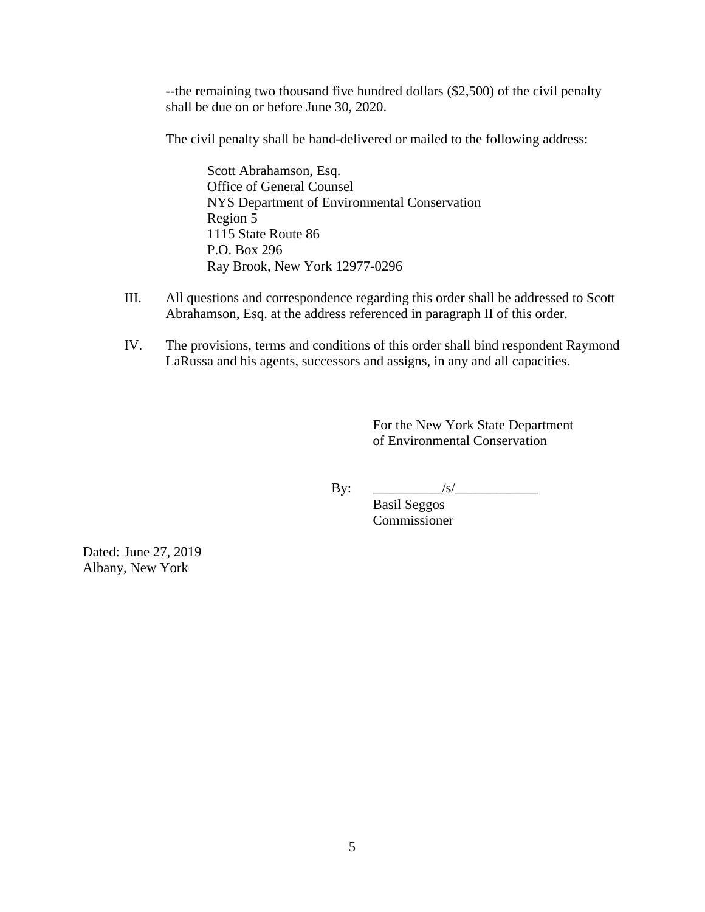--the remaining two thousand five hundred dollars (\$2,500) of the civil penalty shall be due on or before June 30, 2020.

The civil penalty shall be hand-delivered or mailed to the following address:

 Scott Abrahamson, Esq. Office of General Counsel NYS Department of Environmental Conservation Region 5 1115 State Route 86 P.O. Box 296 Ray Brook, New York 12977-0296

- III. All questions and correspondence regarding this order shall be addressed to Scott Abrahamson, Esq. at the address referenced in paragraph II of this order.
- IV. The provisions, terms and conditions of this order shall bind respondent Raymond LaRussa and his agents, successors and assigns, in any and all capacities.

 For the New York State Department of Environmental Conservation

By: \_\_\_\_\_\_\_\_\_\_/s/\_\_\_\_\_\_\_\_\_\_\_\_

 Basil Seggos Commissioner

Dated: June 27, 2019 Albany, New York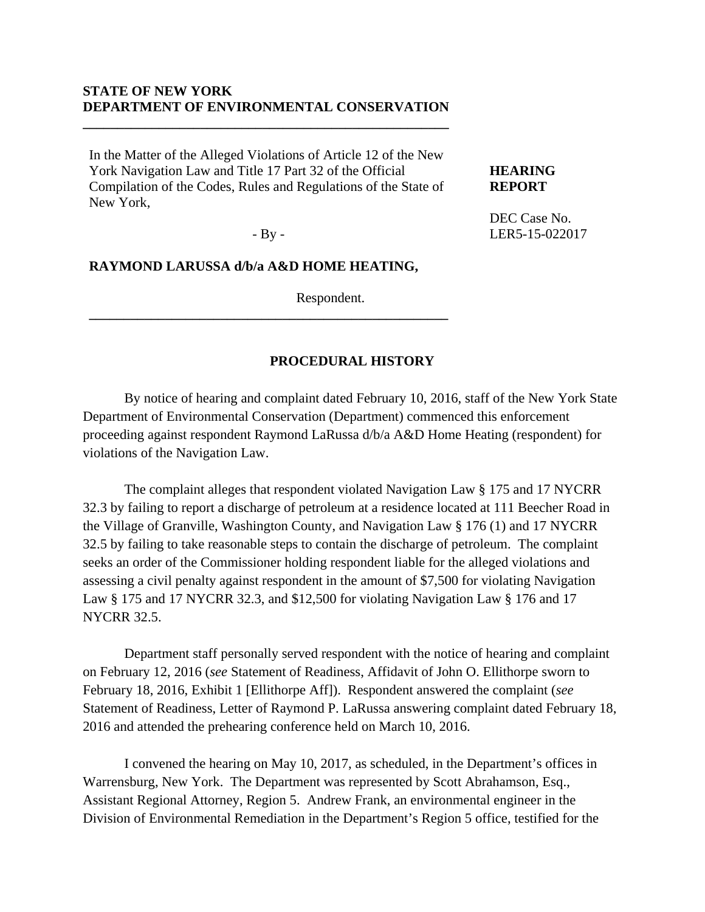## **STATE OF NEW YORK DEPARTMENT OF ENVIRONMENTAL CONSERVATION**

**\_\_\_\_\_\_\_\_\_\_\_\_\_\_\_\_\_\_\_\_\_\_\_\_\_\_\_\_\_\_\_\_\_\_\_\_\_\_\_\_\_\_\_\_\_\_\_\_\_\_\_\_\_**

In the Matter of the Alleged Violations of Article 12 of the New York Navigation Law and Title 17 Part 32 of the Official Compilation of the Codes, Rules and Regulations of the State of New York,

**HEARING REPORT** 

DEC Case No. LER5-15-022017

- By -

**\_\_\_\_\_\_\_\_\_\_\_\_\_\_\_\_\_\_\_\_\_\_\_\_\_\_\_\_\_\_\_\_\_\_\_\_\_\_\_\_\_\_\_\_\_\_\_\_\_\_\_\_**

## **RAYMOND LARUSSA d/b/a A&D HOME HEATING,**

Respondent.

### **PROCEDURAL HISTORY**

 By notice of hearing and complaint dated February 10, 2016, staff of the New York State Department of Environmental Conservation (Department) commenced this enforcement proceeding against respondent Raymond LaRussa d/b/a A&D Home Heating (respondent) for violations of the Navigation Law.

The complaint alleges that respondent violated Navigation Law § 175 and 17 NYCRR 32.3 by failing to report a discharge of petroleum at a residence located at 111 Beecher Road in the Village of Granville, Washington County, and Navigation Law § 176 (1) and 17 NYCRR 32.5 by failing to take reasonable steps to contain the discharge of petroleum. The complaint seeks an order of the Commissioner holding respondent liable for the alleged violations and assessing a civil penalty against respondent in the amount of \$7,500 for violating Navigation Law § 175 and 17 NYCRR 32.3, and \$12,500 for violating Navigation Law § 176 and 17 NYCRR 32.5.

Department staff personally served respondent with the notice of hearing and complaint on February 12, 2016 (*see* Statement of Readiness, Affidavit of John O. Ellithorpe sworn to February 18, 2016, Exhibit 1 [Ellithorpe Aff]). Respondent answered the complaint (*see* Statement of Readiness, Letter of Raymond P. LaRussa answering complaint dated February 18, 2016 and attended the prehearing conference held on March 10, 2016.

I convened the hearing on May 10, 2017, as scheduled, in the Department's offices in Warrensburg, New York. The Department was represented by Scott Abrahamson, Esq., Assistant Regional Attorney, Region 5. Andrew Frank, an environmental engineer in the Division of Environmental Remediation in the Department's Region 5 office, testified for the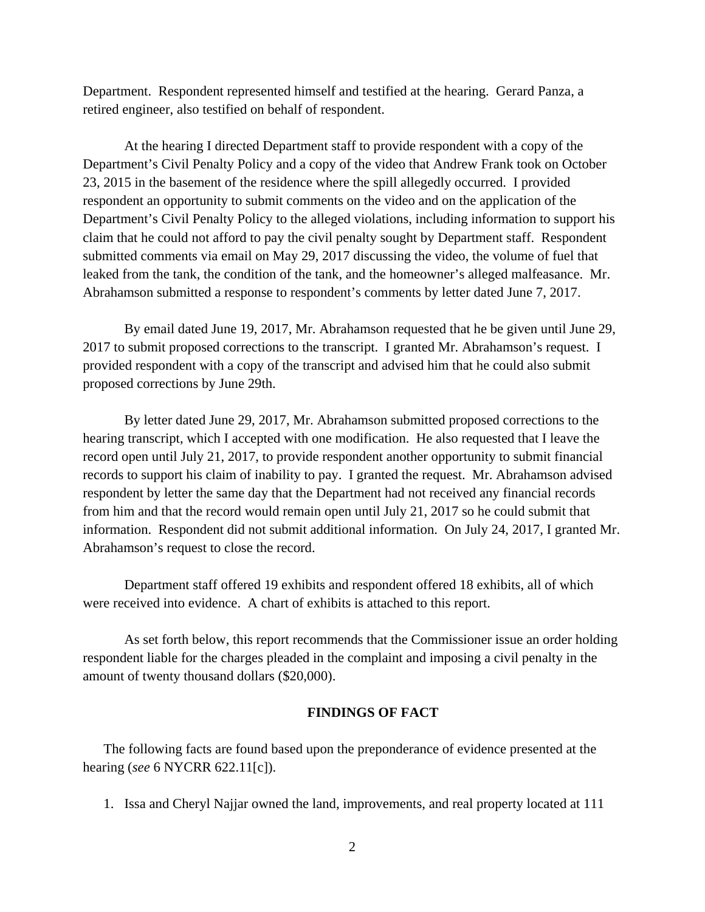Department. Respondent represented himself and testified at the hearing. Gerard Panza, a retired engineer, also testified on behalf of respondent.

At the hearing I directed Department staff to provide respondent with a copy of the Department's Civil Penalty Policy and a copy of the video that Andrew Frank took on October 23, 2015 in the basement of the residence where the spill allegedly occurred. I provided respondent an opportunity to submit comments on the video and on the application of the Department's Civil Penalty Policy to the alleged violations, including information to support his claim that he could not afford to pay the civil penalty sought by Department staff. Respondent submitted comments via email on May 29, 2017 discussing the video, the volume of fuel that leaked from the tank, the condition of the tank, and the homeowner's alleged malfeasance. Mr. Abrahamson submitted a response to respondent's comments by letter dated June 7, 2017.

By email dated June 19, 2017, Mr. Abrahamson requested that he be given until June 29, 2017 to submit proposed corrections to the transcript. I granted Mr. Abrahamson's request. I provided respondent with a copy of the transcript and advised him that he could also submit proposed corrections by June 29th.

By letter dated June 29, 2017, Mr. Abrahamson submitted proposed corrections to the hearing transcript, which I accepted with one modification. He also requested that I leave the record open until July 21, 2017, to provide respondent another opportunity to submit financial records to support his claim of inability to pay. I granted the request. Mr. Abrahamson advised respondent by letter the same day that the Department had not received any financial records from him and that the record would remain open until July 21, 2017 so he could submit that information. Respondent did not submit additional information. On July 24, 2017, I granted Mr. Abrahamson's request to close the record.

Department staff offered 19 exhibits and respondent offered 18 exhibits, all of which were received into evidence. A chart of exhibits is attached to this report.

 As set forth below, this report recommends that the Commissioner issue an order holding respondent liable for the charges pleaded in the complaint and imposing a civil penalty in the amount of twenty thousand dollars (\$20,000).

### **FINDINGS OF FACT**

The following facts are found based upon the preponderance of evidence presented at the hearing (*see* 6 NYCRR 622.11[c]).

1. Issa and Cheryl Najjar owned the land, improvements, and real property located at 111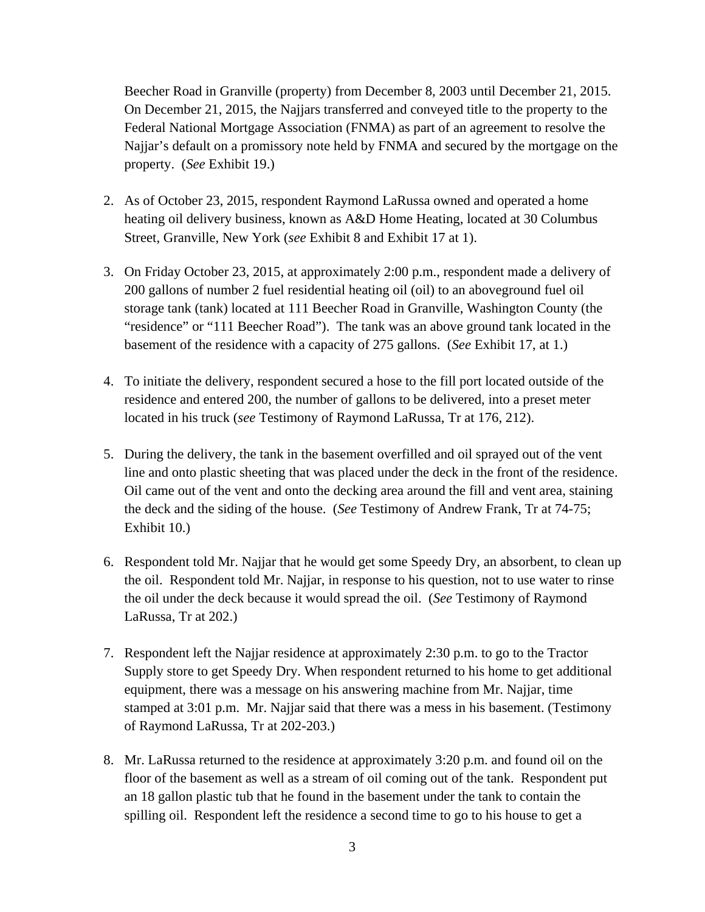Beecher Road in Granville (property) from December 8, 2003 until December 21, 2015. On December 21, 2015, the Najjars transferred and conveyed title to the property to the Federal National Mortgage Association (FNMA) as part of an agreement to resolve the Najjar's default on a promissory note held by FNMA and secured by the mortgage on the property. (*See* Exhibit 19.)

- 2. As of October 23, 2015, respondent Raymond LaRussa owned and operated a home heating oil delivery business, known as A&D Home Heating, located at 30 Columbus Street, Granville, New York (*see* Exhibit 8 and Exhibit 17 at 1).
- 3. On Friday October 23, 2015, at approximately 2:00 p.m., respondent made a delivery of 200 gallons of number 2 fuel residential heating oil (oil) to an aboveground fuel oil storage tank (tank) located at 111 Beecher Road in Granville, Washington County (the "residence" or "111 Beecher Road"). The tank was an above ground tank located in the basement of the residence with a capacity of 275 gallons. (*See* Exhibit 17, at 1.)
- 4. To initiate the delivery, respondent secured a hose to the fill port located outside of the residence and entered 200, the number of gallons to be delivered, into a preset meter located in his truck (*see* Testimony of Raymond LaRussa, Tr at 176, 212).
- 5. During the delivery, the tank in the basement overfilled and oil sprayed out of the vent line and onto plastic sheeting that was placed under the deck in the front of the residence. Oil came out of the vent and onto the decking area around the fill and vent area, staining the deck and the siding of the house. (*See* Testimony of Andrew Frank, Tr at 74-75; Exhibit 10.)
- 6. Respondent told Mr. Najjar that he would get some Speedy Dry, an absorbent, to clean up the oil. Respondent told Mr. Najjar, in response to his question, not to use water to rinse the oil under the deck because it would spread the oil. (*See* Testimony of Raymond LaRussa, Tr at 202.)
- 7. Respondent left the Najjar residence at approximately 2:30 p.m. to go to the Tractor Supply store to get Speedy Dry. When respondent returned to his home to get additional equipment, there was a message on his answering machine from Mr. Najjar, time stamped at 3:01 p.m. Mr. Najjar said that there was a mess in his basement. (Testimony of Raymond LaRussa, Tr at 202-203.)
- 8. Mr. LaRussa returned to the residence at approximately 3:20 p.m. and found oil on the floor of the basement as well as a stream of oil coming out of the tank. Respondent put an 18 gallon plastic tub that he found in the basement under the tank to contain the spilling oil. Respondent left the residence a second time to go to his house to get a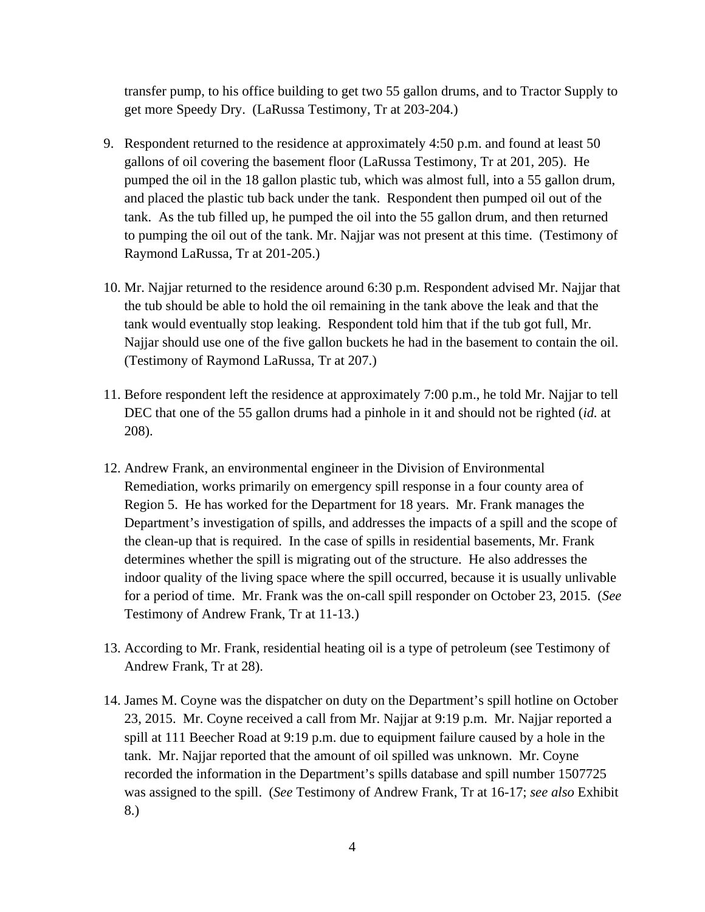transfer pump, to his office building to get two 55 gallon drums, and to Tractor Supply to get more Speedy Dry. (LaRussa Testimony, Tr at 203-204.)

- 9. Respondent returned to the residence at approximately 4:50 p.m. and found at least 50 gallons of oil covering the basement floor (LaRussa Testimony, Tr at 201, 205). He pumped the oil in the 18 gallon plastic tub, which was almost full, into a 55 gallon drum, and placed the plastic tub back under the tank. Respondent then pumped oil out of the tank. As the tub filled up, he pumped the oil into the 55 gallon drum, and then returned to pumping the oil out of the tank. Mr. Najjar was not present at this time. (Testimony of Raymond LaRussa, Tr at 201-205.)
- 10. Mr. Najjar returned to the residence around 6:30 p.m. Respondent advised Mr. Najjar that the tub should be able to hold the oil remaining in the tank above the leak and that the tank would eventually stop leaking. Respondent told him that if the tub got full, Mr. Najjar should use one of the five gallon buckets he had in the basement to contain the oil. (Testimony of Raymond LaRussa, Tr at 207.)
- 11. Before respondent left the residence at approximately 7:00 p.m., he told Mr. Najjar to tell DEC that one of the 55 gallon drums had a pinhole in it and should not be righted (*id.* at 208).
- 12. Andrew Frank, an environmental engineer in the Division of Environmental Remediation, works primarily on emergency spill response in a four county area of Region 5. He has worked for the Department for 18 years. Mr. Frank manages the Department's investigation of spills, and addresses the impacts of a spill and the scope of the clean-up that is required. In the case of spills in residential basements, Mr. Frank determines whether the spill is migrating out of the structure. He also addresses the indoor quality of the living space where the spill occurred, because it is usually unlivable for a period of time. Mr. Frank was the on-call spill responder on October 23, 2015. (*See* Testimony of Andrew Frank, Tr at 11-13.)
- 13. According to Mr. Frank, residential heating oil is a type of petroleum (see Testimony of Andrew Frank, Tr at 28).
- 14. James M. Coyne was the dispatcher on duty on the Department's spill hotline on October 23, 2015. Mr. Coyne received a call from Mr. Najjar at 9:19 p.m. Mr. Najjar reported a spill at 111 Beecher Road at 9:19 p.m. due to equipment failure caused by a hole in the tank. Mr. Najjar reported that the amount of oil spilled was unknown. Mr. Coyne recorded the information in the Department's spills database and spill number 1507725 was assigned to the spill. (*See* Testimony of Andrew Frank, Tr at 16-17; *see also* Exhibit 8.)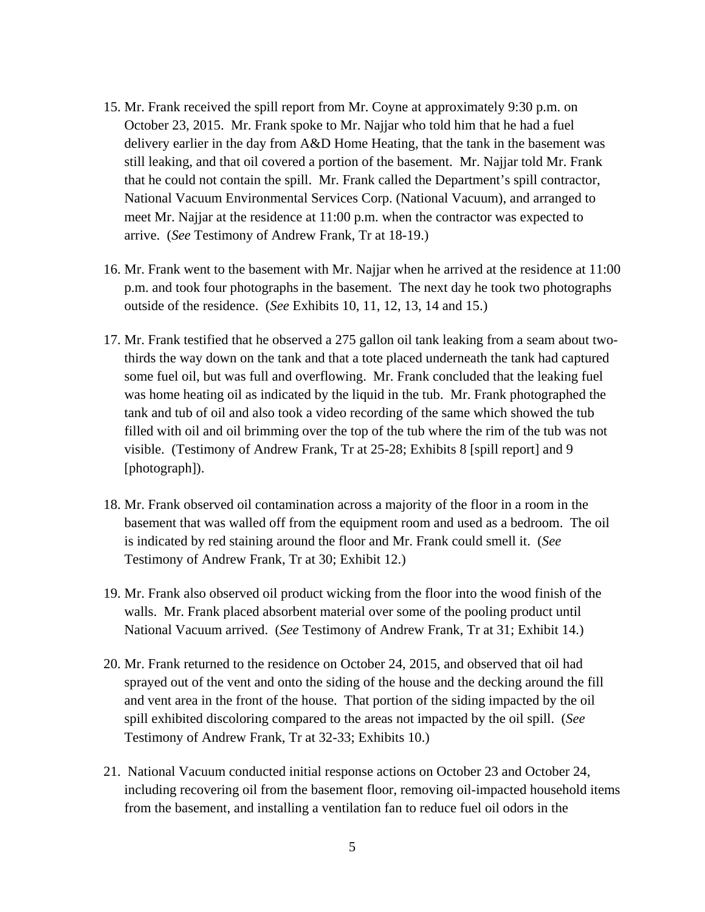- 15. Mr. Frank received the spill report from Mr. Coyne at approximately 9:30 p.m. on October 23, 2015. Mr. Frank spoke to Mr. Najjar who told him that he had a fuel delivery earlier in the day from A&D Home Heating, that the tank in the basement was still leaking, and that oil covered a portion of the basement. Mr. Najjar told Mr. Frank that he could not contain the spill. Mr. Frank called the Department's spill contractor, National Vacuum Environmental Services Corp. (National Vacuum), and arranged to meet Mr. Najjar at the residence at 11:00 p.m. when the contractor was expected to arrive. (*See* Testimony of Andrew Frank, Tr at 18-19.)
- 16. Mr. Frank went to the basement with Mr. Najjar when he arrived at the residence at 11:00 p.m. and took four photographs in the basement. The next day he took two photographs outside of the residence. (*See* Exhibits 10, 11, 12, 13, 14 and 15.)
- 17. Mr. Frank testified that he observed a 275 gallon oil tank leaking from a seam about twothirds the way down on the tank and that a tote placed underneath the tank had captured some fuel oil, but was full and overflowing. Mr. Frank concluded that the leaking fuel was home heating oil as indicated by the liquid in the tub. Mr. Frank photographed the tank and tub of oil and also took a video recording of the same which showed the tub filled with oil and oil brimming over the top of the tub where the rim of the tub was not visible. (Testimony of Andrew Frank, Tr at 25-28; Exhibits 8 [spill report] and 9 [photograph]).
- 18. Mr. Frank observed oil contamination across a majority of the floor in a room in the basement that was walled off from the equipment room and used as a bedroom. The oil is indicated by red staining around the floor and Mr. Frank could smell it. (*See* Testimony of Andrew Frank, Tr at 30; Exhibit 12.)
- 19. Mr. Frank also observed oil product wicking from the floor into the wood finish of the walls. Mr. Frank placed absorbent material over some of the pooling product until National Vacuum arrived. (*See* Testimony of Andrew Frank, Tr at 31; Exhibit 14.)
- 20. Mr. Frank returned to the residence on October 24, 2015, and observed that oil had sprayed out of the vent and onto the siding of the house and the decking around the fill and vent area in the front of the house. That portion of the siding impacted by the oil spill exhibited discoloring compared to the areas not impacted by the oil spill. (*See* Testimony of Andrew Frank, Tr at 32-33; Exhibits 10.)
- 21. National Vacuum conducted initial response actions on October 23 and October 24, including recovering oil from the basement floor, removing oil-impacted household items from the basement, and installing a ventilation fan to reduce fuel oil odors in the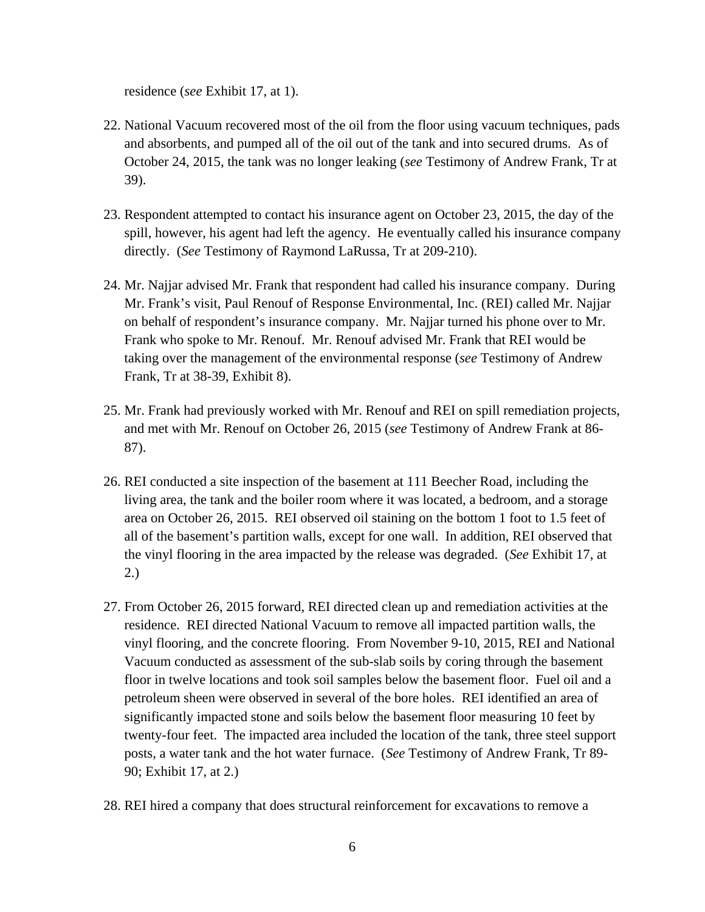residence (*see* Exhibit 17, at 1).

- 22. National Vacuum recovered most of the oil from the floor using vacuum techniques, pads and absorbents, and pumped all of the oil out of the tank and into secured drums. As of October 24, 2015, the tank was no longer leaking (*see* Testimony of Andrew Frank, Tr at 39).
- 23. Respondent attempted to contact his insurance agent on October 23, 2015, the day of the spill, however, his agent had left the agency. He eventually called his insurance company directly. (*See* Testimony of Raymond LaRussa, Tr at 209-210).
- 24. Mr. Najjar advised Mr. Frank that respondent had called his insurance company. During Mr. Frank's visit, Paul Renouf of Response Environmental, Inc. (REI) called Mr. Najjar on behalf of respondent's insurance company. Mr. Najjar turned his phone over to Mr. Frank who spoke to Mr. Renouf. Mr. Renouf advised Mr. Frank that REI would be taking over the management of the environmental response (*see* Testimony of Andrew Frank, Tr at 38-39, Exhibit 8).
- 25. Mr. Frank had previously worked with Mr. Renouf and REI on spill remediation projects, and met with Mr. Renouf on October 26, 2015 (*see* Testimony of Andrew Frank at 86- 87).
- 26. REI conducted a site inspection of the basement at 111 Beecher Road, including the living area, the tank and the boiler room where it was located, a bedroom, and a storage area on October 26, 2015. REI observed oil staining on the bottom 1 foot to 1.5 feet of all of the basement's partition walls, except for one wall. In addition, REI observed that the vinyl flooring in the area impacted by the release was degraded. (*See* Exhibit 17, at 2.)
- 27. From October 26, 2015 forward, REI directed clean up and remediation activities at the residence. REI directed National Vacuum to remove all impacted partition walls, the vinyl flooring, and the concrete flooring. From November 9-10, 2015, REI and National Vacuum conducted as assessment of the sub-slab soils by coring through the basement floor in twelve locations and took soil samples below the basement floor. Fuel oil and a petroleum sheen were observed in several of the bore holes. REI identified an area of significantly impacted stone and soils below the basement floor measuring 10 feet by twenty-four feet. The impacted area included the location of the tank, three steel support posts, a water tank and the hot water furnace. (*See* Testimony of Andrew Frank, Tr 89- 90; Exhibit 17, at 2.)
- 28. REI hired a company that does structural reinforcement for excavations to remove a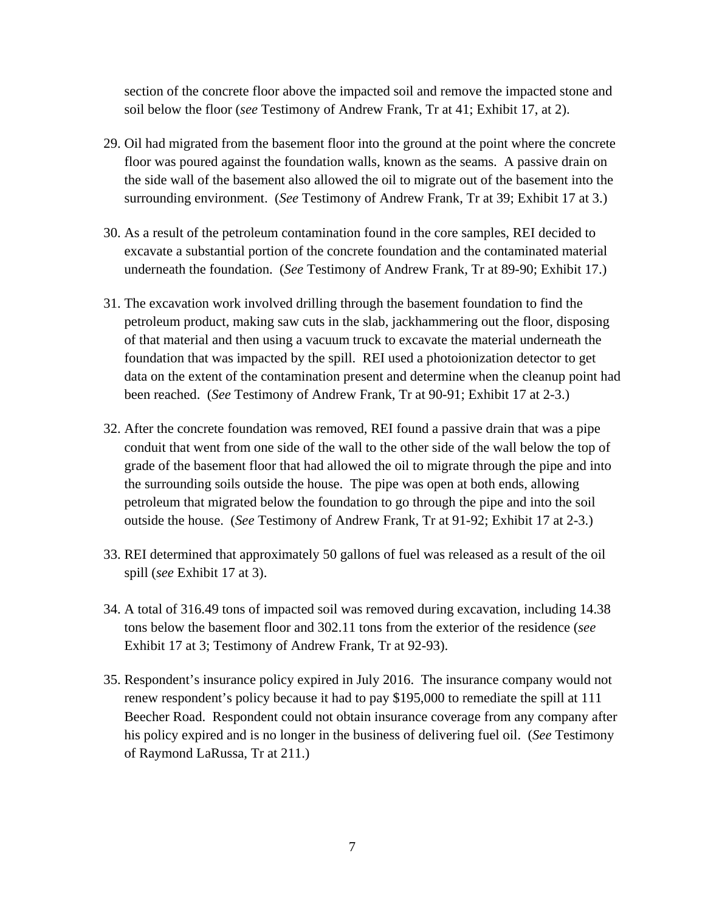section of the concrete floor above the impacted soil and remove the impacted stone and soil below the floor (*see* Testimony of Andrew Frank, Tr at 41; Exhibit 17, at 2).

- 29. Oil had migrated from the basement floor into the ground at the point where the concrete floor was poured against the foundation walls, known as the seams. A passive drain on the side wall of the basement also allowed the oil to migrate out of the basement into the surrounding environment. (*See* Testimony of Andrew Frank, Tr at 39; Exhibit 17 at 3.)
- 30. As a result of the petroleum contamination found in the core samples, REI decided to excavate a substantial portion of the concrete foundation and the contaminated material underneath the foundation. (*See* Testimony of Andrew Frank, Tr at 89-90; Exhibit 17.)
- 31. The excavation work involved drilling through the basement foundation to find the petroleum product, making saw cuts in the slab, jackhammering out the floor, disposing of that material and then using a vacuum truck to excavate the material underneath the foundation that was impacted by the spill. REI used a photoionization detector to get data on the extent of the contamination present and determine when the cleanup point had been reached. (*See* Testimony of Andrew Frank, Tr at 90-91; Exhibit 17 at 2-3.)
- 32. After the concrete foundation was removed, REI found a passive drain that was a pipe conduit that went from one side of the wall to the other side of the wall below the top of grade of the basement floor that had allowed the oil to migrate through the pipe and into the surrounding soils outside the house. The pipe was open at both ends, allowing petroleum that migrated below the foundation to go through the pipe and into the soil outside the house. (*See* Testimony of Andrew Frank, Tr at 91-92; Exhibit 17 at 2-3.)
- 33. REI determined that approximately 50 gallons of fuel was released as a result of the oil spill (*see* Exhibit 17 at 3).
- 34. A total of 316.49 tons of impacted soil was removed during excavation, including 14.38 tons below the basement floor and 302.11 tons from the exterior of the residence (*see*  Exhibit 17 at 3; Testimony of Andrew Frank, Tr at 92-93).
- 35. Respondent's insurance policy expired in July 2016. The insurance company would not renew respondent's policy because it had to pay \$195,000 to remediate the spill at 111 Beecher Road. Respondent could not obtain insurance coverage from any company after his policy expired and is no longer in the business of delivering fuel oil. (*See* Testimony of Raymond LaRussa, Tr at 211.)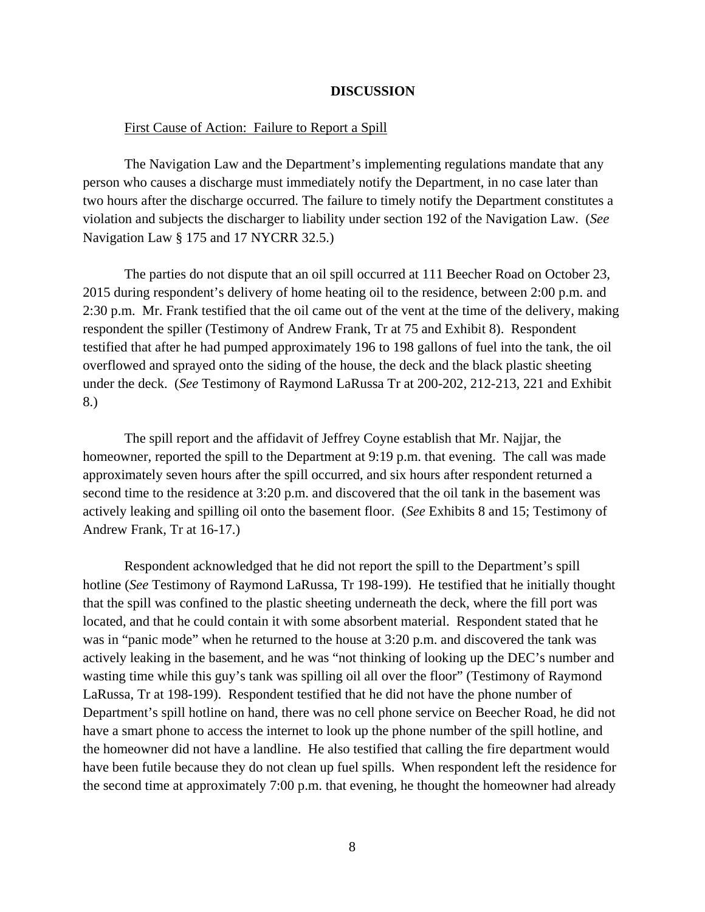#### **DISCUSSION**

#### First Cause of Action: Failure to Report a Spill

 The Navigation Law and the Department's implementing regulations mandate that any person who causes a discharge must immediately notify the Department, in no case later than two hours after the discharge occurred. The failure to timely notify the Department constitutes a violation and subjects the discharger to liability under section 192 of the Navigation Law. (*See* Navigation Law § 175 and 17 NYCRR 32.5.)

 The parties do not dispute that an oil spill occurred at 111 Beecher Road on October 23, 2015 during respondent's delivery of home heating oil to the residence, between 2:00 p.m. and 2:30 p.m. Mr. Frank testified that the oil came out of the vent at the time of the delivery, making respondent the spiller (Testimony of Andrew Frank, Tr at 75 and Exhibit 8). Respondent testified that after he had pumped approximately 196 to 198 gallons of fuel into the tank, the oil overflowed and sprayed onto the siding of the house, the deck and the black plastic sheeting under the deck. (*See* Testimony of Raymond LaRussa Tr at 200-202, 212-213, 221 and Exhibit 8.)

The spill report and the affidavit of Jeffrey Coyne establish that Mr. Najjar, the homeowner, reported the spill to the Department at 9:19 p.m. that evening. The call was made approximately seven hours after the spill occurred, and six hours after respondent returned a second time to the residence at 3:20 p.m. and discovered that the oil tank in the basement was actively leaking and spilling oil onto the basement floor. (*See* Exhibits 8 and 15; Testimony of Andrew Frank, Tr at 16-17.)

 Respondent acknowledged that he did not report the spill to the Department's spill hotline (*See* Testimony of Raymond LaRussa, Tr 198-199). He testified that he initially thought that the spill was confined to the plastic sheeting underneath the deck, where the fill port was located, and that he could contain it with some absorbent material. Respondent stated that he was in "panic mode" when he returned to the house at 3:20 p.m. and discovered the tank was actively leaking in the basement, and he was "not thinking of looking up the DEC's number and wasting time while this guy's tank was spilling oil all over the floor" (Testimony of Raymond LaRussa, Tr at 198-199). Respondent testified that he did not have the phone number of Department's spill hotline on hand, there was no cell phone service on Beecher Road, he did not have a smart phone to access the internet to look up the phone number of the spill hotline, and the homeowner did not have a landline. He also testified that calling the fire department would have been futile because they do not clean up fuel spills. When respondent left the residence for the second time at approximately 7:00 p.m. that evening, he thought the homeowner had already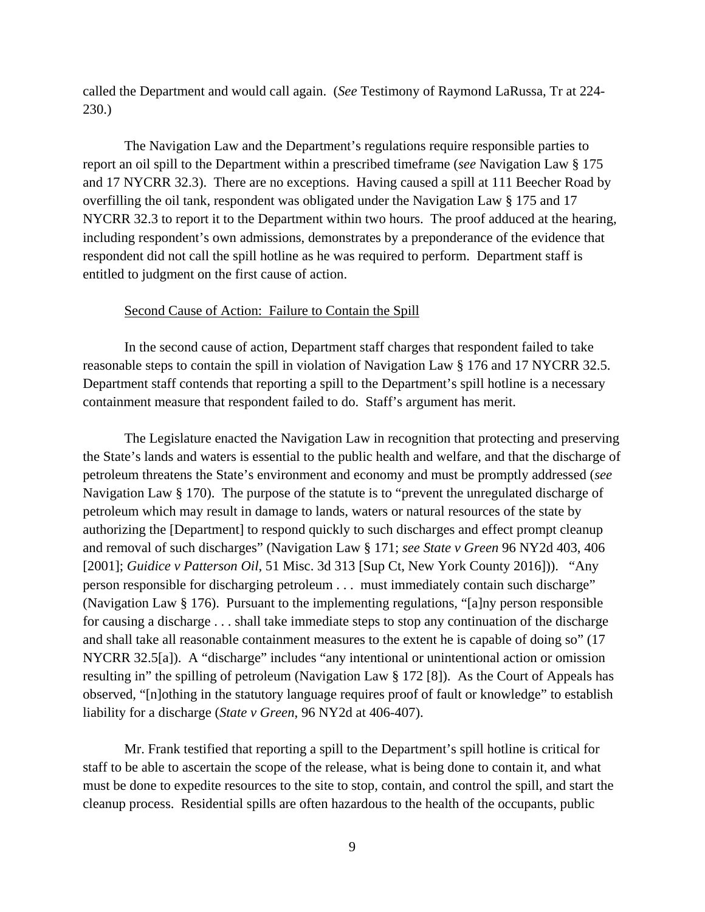called the Department and would call again. (*See* Testimony of Raymond LaRussa, Tr at 224- 230.)

The Navigation Law and the Department's regulations require responsible parties to report an oil spill to the Department within a prescribed timeframe (*see* Navigation Law § 175 and 17 NYCRR 32.3). There are no exceptions. Having caused a spill at 111 Beecher Road by overfilling the oil tank, respondent was obligated under the Navigation Law § 175 and 17 NYCRR 32.3 to report it to the Department within two hours. The proof adduced at the hearing, including respondent's own admissions, demonstrates by a preponderance of the evidence that respondent did not call the spill hotline as he was required to perform. Department staff is entitled to judgment on the first cause of action.

#### Second Cause of Action: Failure to Contain the Spill

In the second cause of action, Department staff charges that respondent failed to take reasonable steps to contain the spill in violation of Navigation Law § 176 and 17 NYCRR 32.5. Department staff contends that reporting a spill to the Department's spill hotline is a necessary containment measure that respondent failed to do. Staff's argument has merit.

The Legislature enacted the Navigation Law in recognition that protecting and preserving the State's lands and waters is essential to the public health and welfare, and that the discharge of petroleum threatens the State's environment and economy and must be promptly addressed (*see* Navigation Law § 170). The purpose of the statute is to "prevent the unregulated discharge of petroleum which may result in damage to lands, waters or natural resources of the state by authorizing the [Department] to respond quickly to such discharges and effect prompt cleanup and removal of such discharges" (Navigation Law § 171; *see State v Green* 96 NY2d 403, 406 [2001]; *Guidice v Patterson Oil*, 51 Misc. 3d 313 [Sup Ct, New York County 2016])). "Any person responsible for discharging petroleum . . . must immediately contain such discharge" (Navigation Law § 176). Pursuant to the implementing regulations, "[a]ny person responsible for causing a discharge . . . shall take immediate steps to stop any continuation of the discharge and shall take all reasonable containment measures to the extent he is capable of doing so" (17 NYCRR 32.5[a]). A "discharge" includes "any intentional or unintentional action or omission resulting in" the spilling of petroleum (Navigation Law § 172 [8]). As the Court of Appeals has observed, "[n]othing in the statutory language requires proof of fault or knowledge" to establish liability for a discharge (*State v Green*, 96 NY2d at 406-407).

Mr. Frank testified that reporting a spill to the Department's spill hotline is critical for staff to be able to ascertain the scope of the release, what is being done to contain it, and what must be done to expedite resources to the site to stop, contain, and control the spill, and start the cleanup process. Residential spills are often hazardous to the health of the occupants, public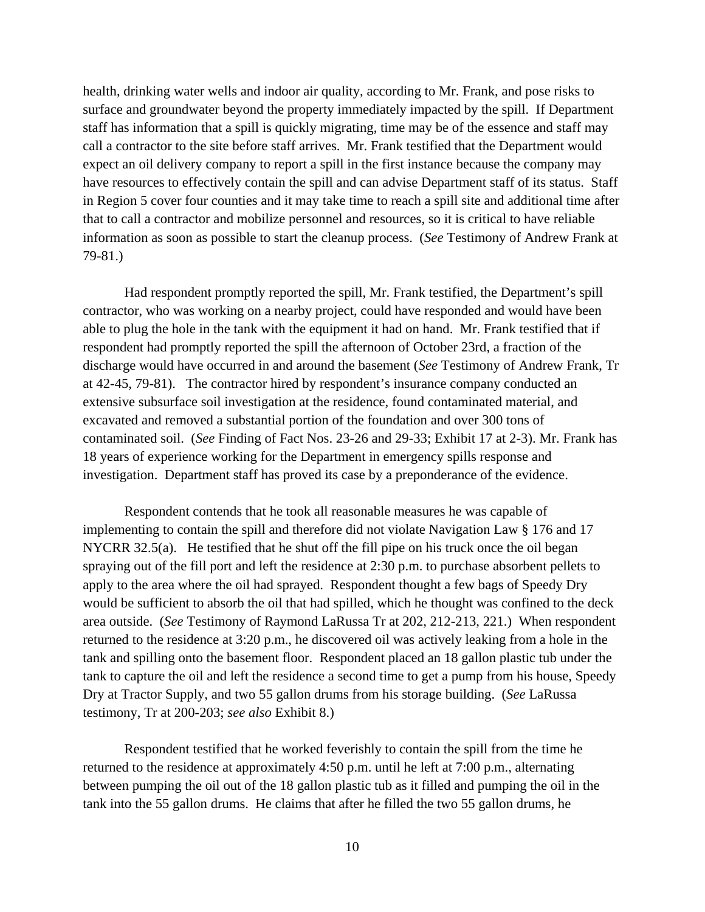health, drinking water wells and indoor air quality, according to Mr. Frank, and pose risks to surface and groundwater beyond the property immediately impacted by the spill. If Department staff has information that a spill is quickly migrating, time may be of the essence and staff may call a contractor to the site before staff arrives. Mr. Frank testified that the Department would expect an oil delivery company to report a spill in the first instance because the company may have resources to effectively contain the spill and can advise Department staff of its status. Staff in Region 5 cover four counties and it may take time to reach a spill site and additional time after that to call a contractor and mobilize personnel and resources, so it is critical to have reliable information as soon as possible to start the cleanup process. (*See* Testimony of Andrew Frank at 79-81.)

Had respondent promptly reported the spill, Mr. Frank testified, the Department's spill contractor, who was working on a nearby project, could have responded and would have been able to plug the hole in the tank with the equipment it had on hand. Mr. Frank testified that if respondent had promptly reported the spill the afternoon of October 23rd, a fraction of the discharge would have occurred in and around the basement (*See* Testimony of Andrew Frank, Tr at 42-45, 79-81). The contractor hired by respondent's insurance company conducted an extensive subsurface soil investigation at the residence, found contaminated material, and excavated and removed a substantial portion of the foundation and over 300 tons of contaminated soil. (*See* Finding of Fact Nos. 23-26 and 29-33; Exhibit 17 at 2-3). Mr. Frank has 18 years of experience working for the Department in emergency spills response and investigation. Department staff has proved its case by a preponderance of the evidence.

Respondent contends that he took all reasonable measures he was capable of implementing to contain the spill and therefore did not violate Navigation Law § 176 and 17 NYCRR 32.5(a). He testified that he shut off the fill pipe on his truck once the oil began spraying out of the fill port and left the residence at 2:30 p.m. to purchase absorbent pellets to apply to the area where the oil had sprayed. Respondent thought a few bags of Speedy Dry would be sufficient to absorb the oil that had spilled, which he thought was confined to the deck area outside. (*See* Testimony of Raymond LaRussa Tr at 202, 212-213, 221.) When respondent returned to the residence at 3:20 p.m., he discovered oil was actively leaking from a hole in the tank and spilling onto the basement floor. Respondent placed an 18 gallon plastic tub under the tank to capture the oil and left the residence a second time to get a pump from his house, Speedy Dry at Tractor Supply, and two 55 gallon drums from his storage building. (*See* LaRussa testimony, Tr at 200-203; *see also* Exhibit 8.)

Respondent testified that he worked feverishly to contain the spill from the time he returned to the residence at approximately 4:50 p.m. until he left at 7:00 p.m., alternating between pumping the oil out of the 18 gallon plastic tub as it filled and pumping the oil in the tank into the 55 gallon drums. He claims that after he filled the two 55 gallon drums, he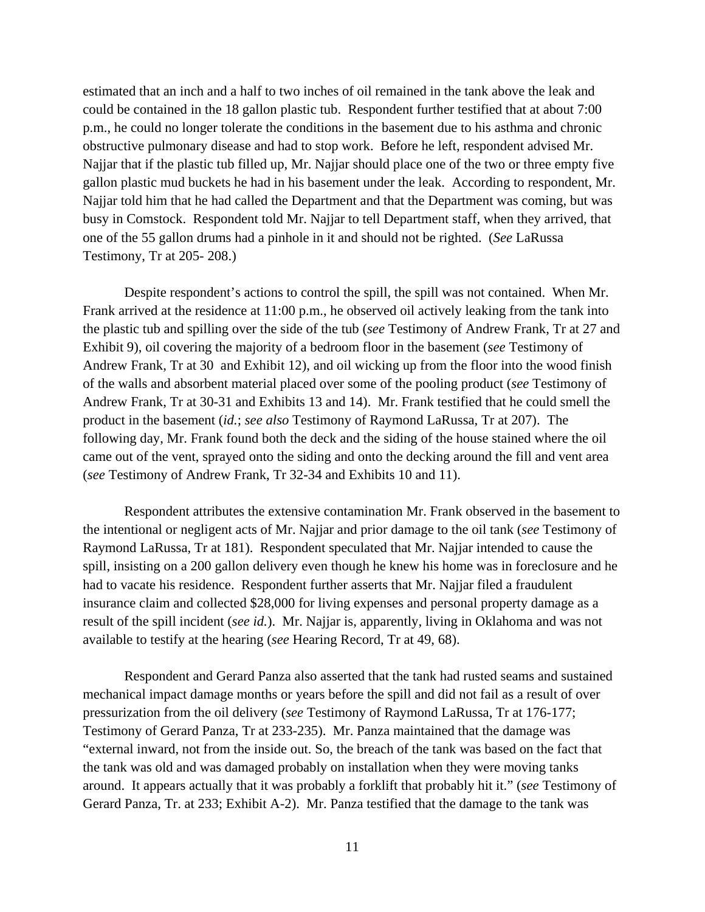estimated that an inch and a half to two inches of oil remained in the tank above the leak and could be contained in the 18 gallon plastic tub. Respondent further testified that at about 7:00 p.m., he could no longer tolerate the conditions in the basement due to his asthma and chronic obstructive pulmonary disease and had to stop work. Before he left, respondent advised Mr. Najjar that if the plastic tub filled up, Mr. Najjar should place one of the two or three empty five gallon plastic mud buckets he had in his basement under the leak. According to respondent, Mr. Najjar told him that he had called the Department and that the Department was coming, but was busy in Comstock. Respondent told Mr. Najjar to tell Department staff, when they arrived, that one of the 55 gallon drums had a pinhole in it and should not be righted. (*See* LaRussa Testimony, Tr at 205- 208.)

 Despite respondent's actions to control the spill, the spill was not contained. When Mr. Frank arrived at the residence at 11:00 p.m., he observed oil actively leaking from the tank into the plastic tub and spilling over the side of the tub (*see* Testimony of Andrew Frank, Tr at 27 and Exhibit 9), oil covering the majority of a bedroom floor in the basement (*see* Testimony of Andrew Frank, Tr at 30 and Exhibit 12), and oil wicking up from the floor into the wood finish of the walls and absorbent material placed over some of the pooling product (*see* Testimony of Andrew Frank, Tr at 30-31 and Exhibits 13 and 14). Mr. Frank testified that he could smell the product in the basement (*id.*; *see also* Testimony of Raymond LaRussa, Tr at 207). The following day, Mr. Frank found both the deck and the siding of the house stained where the oil came out of the vent, sprayed onto the siding and onto the decking around the fill and vent area (*see* Testimony of Andrew Frank, Tr 32-34 and Exhibits 10 and 11).

Respondent attributes the extensive contamination Mr. Frank observed in the basement to the intentional or negligent acts of Mr. Najjar and prior damage to the oil tank (*see* Testimony of Raymond LaRussa, Tr at 181). Respondent speculated that Mr. Najjar intended to cause the spill, insisting on a 200 gallon delivery even though he knew his home was in foreclosure and he had to vacate his residence. Respondent further asserts that Mr. Najjar filed a fraudulent insurance claim and collected \$28,000 for living expenses and personal property damage as a result of the spill incident (*see id.*). Mr. Najjar is, apparently, living in Oklahoma and was not available to testify at the hearing (*see* Hearing Record, Tr at 49, 68).

Respondent and Gerard Panza also asserted that the tank had rusted seams and sustained mechanical impact damage months or years before the spill and did not fail as a result of over pressurization from the oil delivery (*see* Testimony of Raymond LaRussa, Tr at 176-177; Testimony of Gerard Panza, Tr at 233-235). Mr. Panza maintained that the damage was "external inward, not from the inside out. So, the breach of the tank was based on the fact that the tank was old and was damaged probably on installation when they were moving tanks around. It appears actually that it was probably a forklift that probably hit it." (*see* Testimony of Gerard Panza, Tr. at 233; Exhibit A-2). Mr. Panza testified that the damage to the tank was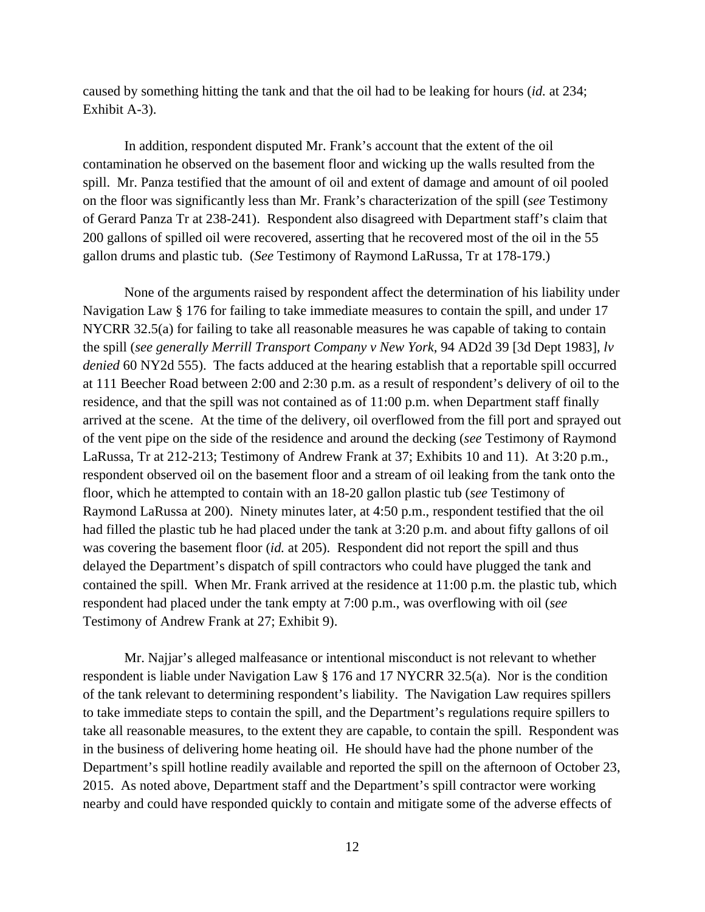caused by something hitting the tank and that the oil had to be leaking for hours (*id.* at 234; Exhibit A-3).

In addition, respondent disputed Mr. Frank's account that the extent of the oil contamination he observed on the basement floor and wicking up the walls resulted from the spill. Mr. Panza testified that the amount of oil and extent of damage and amount of oil pooled on the floor was significantly less than Mr. Frank's characterization of the spill (*see* Testimony of Gerard Panza Tr at 238-241). Respondent also disagreed with Department staff's claim that 200 gallons of spilled oil were recovered, asserting that he recovered most of the oil in the 55 gallon drums and plastic tub. (*See* Testimony of Raymond LaRussa, Tr at 178-179.)

None of the arguments raised by respondent affect the determination of his liability under Navigation Law § 176 for failing to take immediate measures to contain the spill, and under 17 NYCRR 32.5(a) for failing to take all reasonable measures he was capable of taking to contain the spill (*see generally Merrill Transport Company v New York*, 94 AD2d 39 [3d Dept 1983], *lv denied* 60 NY2d 555). The facts adduced at the hearing establish that a reportable spill occurred at 111 Beecher Road between 2:00 and 2:30 p.m. as a result of respondent's delivery of oil to the residence, and that the spill was not contained as of 11:00 p.m. when Department staff finally arrived at the scene. At the time of the delivery, oil overflowed from the fill port and sprayed out of the vent pipe on the side of the residence and around the decking (*see* Testimony of Raymond LaRussa, Tr at 212-213; Testimony of Andrew Frank at 37; Exhibits 10 and 11). At 3:20 p.m., respondent observed oil on the basement floor and a stream of oil leaking from the tank onto the floor, which he attempted to contain with an 18-20 gallon plastic tub (*see* Testimony of Raymond LaRussa at 200). Ninety minutes later, at 4:50 p.m., respondent testified that the oil had filled the plastic tub he had placed under the tank at 3:20 p.m. and about fifty gallons of oil was covering the basement floor (*id.* at 205). Respondent did not report the spill and thus delayed the Department's dispatch of spill contractors who could have plugged the tank and contained the spill. When Mr. Frank arrived at the residence at 11:00 p.m. the plastic tub, which respondent had placed under the tank empty at 7:00 p.m., was overflowing with oil (*see* Testimony of Andrew Frank at 27; Exhibit 9).

Mr. Najjar's alleged malfeasance or intentional misconduct is not relevant to whether respondent is liable under Navigation Law § 176 and 17 NYCRR 32.5(a). Nor is the condition of the tank relevant to determining respondent's liability. The Navigation Law requires spillers to take immediate steps to contain the spill, and the Department's regulations require spillers to take all reasonable measures, to the extent they are capable, to contain the spill. Respondent was in the business of delivering home heating oil. He should have had the phone number of the Department's spill hotline readily available and reported the spill on the afternoon of October 23, 2015. As noted above, Department staff and the Department's spill contractor were working nearby and could have responded quickly to contain and mitigate some of the adverse effects of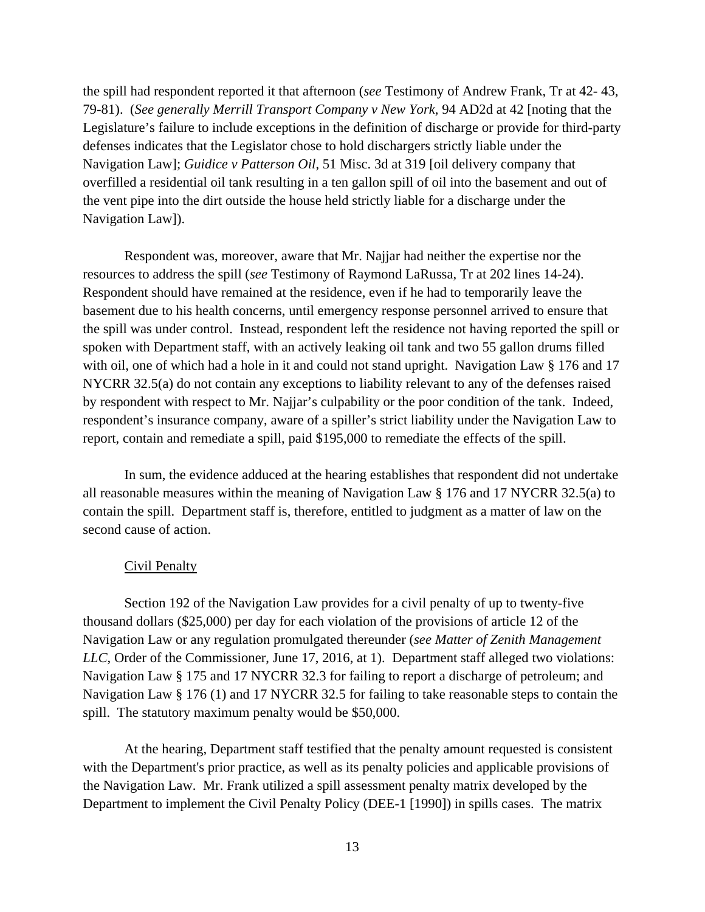the spill had respondent reported it that afternoon (*see* Testimony of Andrew Frank, Tr at 42- 43, 79-81). (*See generally Merrill Transport Company v New York*, 94 AD2d at 42 [noting that the Legislature's failure to include exceptions in the definition of discharge or provide for third-party defenses indicates that the Legislator chose to hold dischargers strictly liable under the Navigation Law]; *Guidice v Patterson Oil*, 51 Misc. 3d at 319 [oil delivery company that overfilled a residential oil tank resulting in a ten gallon spill of oil into the basement and out of the vent pipe into the dirt outside the house held strictly liable for a discharge under the Navigation Law]).

Respondent was, moreover, aware that Mr. Najjar had neither the expertise nor the resources to address the spill (*see* Testimony of Raymond LaRussa, Tr at 202 lines 14-24). Respondent should have remained at the residence, even if he had to temporarily leave the basement due to his health concerns, until emergency response personnel arrived to ensure that the spill was under control. Instead, respondent left the residence not having reported the spill or spoken with Department staff, with an actively leaking oil tank and two 55 gallon drums filled with oil, one of which had a hole in it and could not stand upright. Navigation Law § 176 and 17 NYCRR 32.5(a) do not contain any exceptions to liability relevant to any of the defenses raised by respondent with respect to Mr. Najjar's culpability or the poor condition of the tank. Indeed, respondent's insurance company, aware of a spiller's strict liability under the Navigation Law to report, contain and remediate a spill, paid \$195,000 to remediate the effects of the spill.

In sum, the evidence adduced at the hearing establishes that respondent did not undertake all reasonable measures within the meaning of Navigation Law § 176 and 17 NYCRR 32.5(a) to contain the spill. Department staff is, therefore, entitled to judgment as a matter of law on the second cause of action.

### Civil Penalty

Section 192 of the Navigation Law provides for a civil penalty of up to twenty-five thousand dollars (\$25,000) per day for each violation of the provisions of article 12 of the Navigation Law or any regulation promulgated thereunder (*see Matter of Zenith Management LLC*, Order of the Commissioner, June 17, 2016, at 1). Department staff alleged two violations: Navigation Law § 175 and 17 NYCRR 32.3 for failing to report a discharge of petroleum; and Navigation Law § 176 (1) and 17 NYCRR 32.5 for failing to take reasonable steps to contain the spill. The statutory maximum penalty would be \$50,000.

At the hearing, Department staff testified that the penalty amount requested is consistent with the Department's prior practice, as well as its penalty policies and applicable provisions of the Navigation Law. Mr. Frank utilized a spill assessment penalty matrix developed by the Department to implement the Civil Penalty Policy (DEE-1 [1990]) in spills cases. The matrix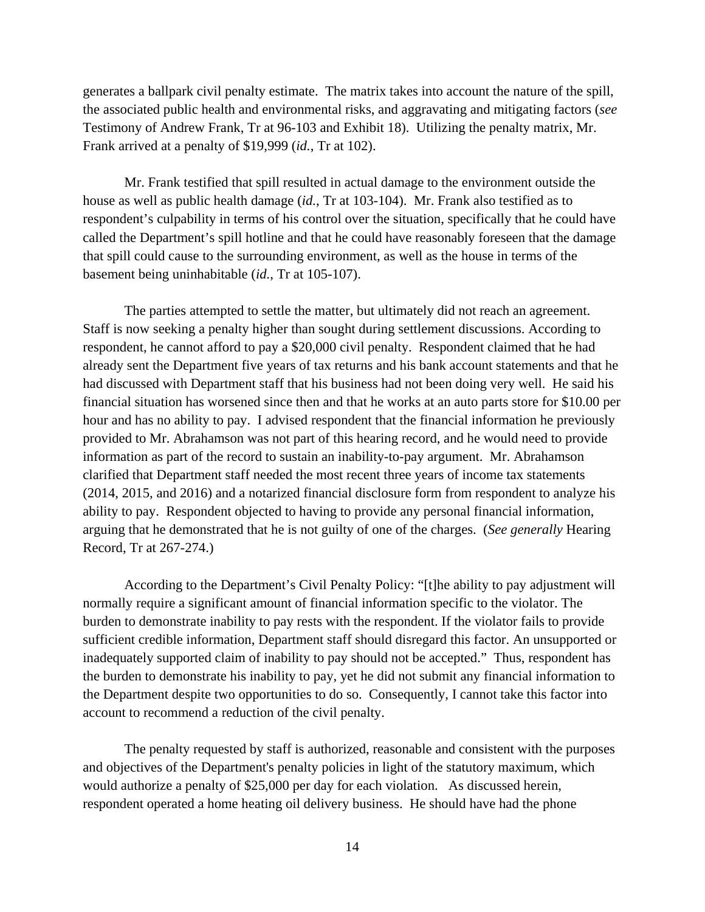generates a ballpark civil penalty estimate. The matrix takes into account the nature of the spill, the associated public health and environmental risks, and aggravating and mitigating factors (*see* Testimony of Andrew Frank, Tr at 96-103 and Exhibit 18). Utilizing the penalty matrix, Mr. Frank arrived at a penalty of \$19,999 (*id.*, Tr at 102).

Mr. Frank testified that spill resulted in actual damage to the environment outside the house as well as public health damage (*id.*, Tr at 103-104). Mr. Frank also testified as to respondent's culpability in terms of his control over the situation, specifically that he could have called the Department's spill hotline and that he could have reasonably foreseen that the damage that spill could cause to the surrounding environment, as well as the house in terms of the basement being uninhabitable (*id.*, Tr at 105-107).

The parties attempted to settle the matter, but ultimately did not reach an agreement. Staff is now seeking a penalty higher than sought during settlement discussions. According to respondent, he cannot afford to pay a \$20,000 civil penalty. Respondent claimed that he had already sent the Department five years of tax returns and his bank account statements and that he had discussed with Department staff that his business had not been doing very well. He said his financial situation has worsened since then and that he works at an auto parts store for \$10.00 per hour and has no ability to pay. I advised respondent that the financial information he previously provided to Mr. Abrahamson was not part of this hearing record, and he would need to provide information as part of the record to sustain an inability-to-pay argument. Mr. Abrahamson clarified that Department staff needed the most recent three years of income tax statements (2014, 2015, and 2016) and a notarized financial disclosure form from respondent to analyze his ability to pay. Respondent objected to having to provide any personal financial information, arguing that he demonstrated that he is not guilty of one of the charges. (*See generally* Hearing Record, Tr at 267-274.)

According to the Department's Civil Penalty Policy: "[t]he ability to pay adjustment will normally require a significant amount of financial information specific to the violator. The burden to demonstrate inability to pay rests with the respondent. If the violator fails to provide sufficient credible information, Department staff should disregard this factor. An unsupported or inadequately supported claim of inability to pay should not be accepted." Thus, respondent has the burden to demonstrate his inability to pay, yet he did not submit any financial information to the Department despite two opportunities to do so. Consequently, I cannot take this factor into account to recommend a reduction of the civil penalty.

The penalty requested by staff is authorized, reasonable and consistent with the purposes and objectives of the Department's penalty policies in light of the statutory maximum, which would authorize a penalty of \$25,000 per day for each violation. As discussed herein, respondent operated a home heating oil delivery business. He should have had the phone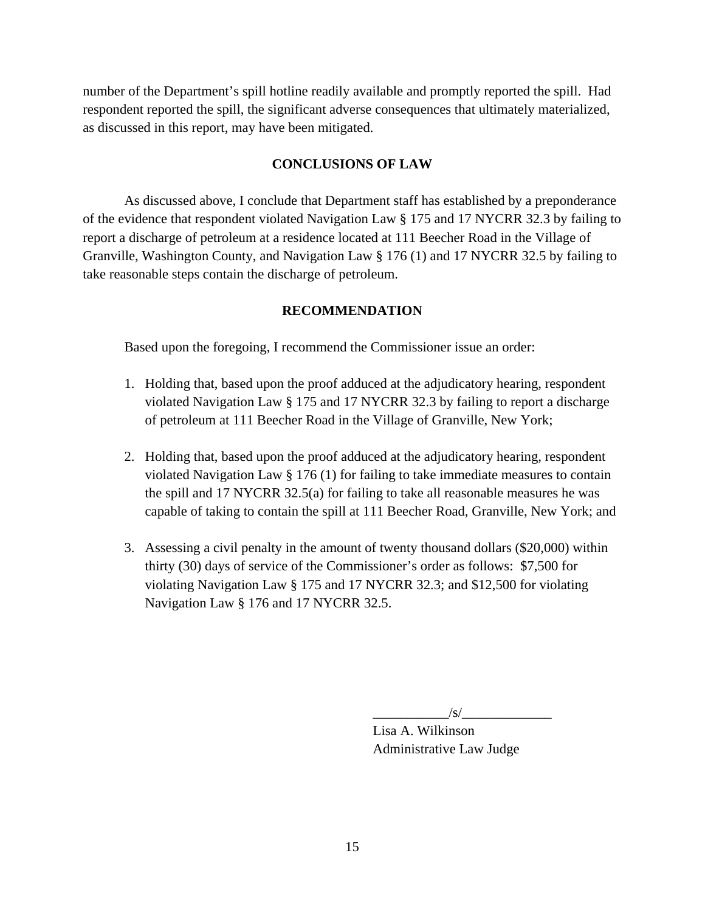number of the Department's spill hotline readily available and promptly reported the spill. Had respondent reported the spill, the significant adverse consequences that ultimately materialized, as discussed in this report, may have been mitigated.

# **CONCLUSIONS OF LAW**

 As discussed above, I conclude that Department staff has established by a preponderance of the evidence that respondent violated Navigation Law § 175 and 17 NYCRR 32.3 by failing to report a discharge of petroleum at a residence located at 111 Beecher Road in the Village of Granville, Washington County, and Navigation Law § 176 (1) and 17 NYCRR 32.5 by failing to take reasonable steps contain the discharge of petroleum.

# **RECOMMENDATION**

Based upon the foregoing, I recommend the Commissioner issue an order:

- 1. Holding that, based upon the proof adduced at the adjudicatory hearing, respondent violated Navigation Law § 175 and 17 NYCRR 32.3 by failing to report a discharge of petroleum at 111 Beecher Road in the Village of Granville, New York;
- 2. Holding that, based upon the proof adduced at the adjudicatory hearing, respondent violated Navigation Law § 176 (1) for failing to take immediate measures to contain the spill and 17 NYCRR 32.5(a) for failing to take all reasonable measures he was capable of taking to contain the spill at 111 Beecher Road, Granville, New York; and
- 3. Assessing a civil penalty in the amount of twenty thousand dollars (\$20,000) within thirty (30) days of service of the Commissioner's order as follows: \$7,500 for violating Navigation Law § 175 and 17 NYCRR 32.3; and \$12,500 for violating Navigation Law § 176 and 17 NYCRR 32.5.

 $\sqrt{s}$ /

Lisa A. Wilkinson Administrative Law Judge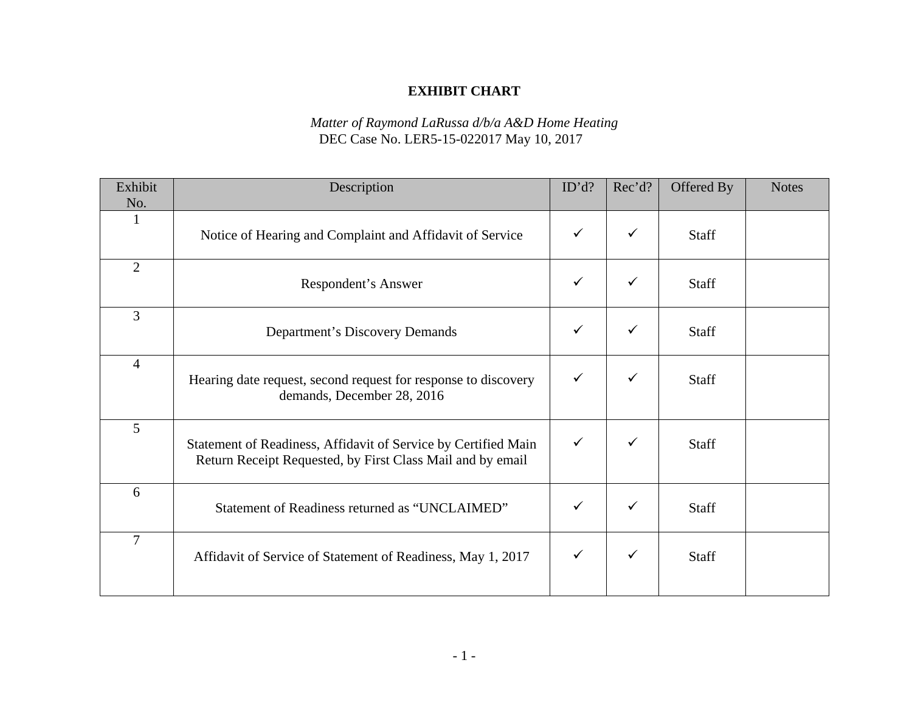# **EXHIBIT CHART**

## *Matter of Raymond LaRussa d/b/a A&D Home Heating*  DEC Case No. LER5-15-022017 May 10, 2017

| Exhibit        | Description                                                                                                                  | ID'd?        | Rec'd?       | Offered By   | <b>Notes</b> |
|----------------|------------------------------------------------------------------------------------------------------------------------------|--------------|--------------|--------------|--------------|
| No.            |                                                                                                                              |              |              |              |              |
| 1              | Notice of Hearing and Complaint and Affidavit of Service                                                                     | $\checkmark$ | $\checkmark$ | Staff        |              |
| $\overline{2}$ | Respondent's Answer                                                                                                          | $\checkmark$ | ✓            | Staff        |              |
| $\overline{3}$ | Department's Discovery Demands                                                                                               | $\checkmark$ | $\checkmark$ | Staff        |              |
| $\overline{4}$ | Hearing date request, second request for response to discovery<br>demands, December 28, 2016                                 |              | $\checkmark$ | <b>Staff</b> |              |
| 5              | Statement of Readiness, Affidavit of Service by Certified Main<br>Return Receipt Requested, by First Class Mail and by email | $\checkmark$ | ✓            | <b>Staff</b> |              |
| 6              | Statement of Readiness returned as "UNCLAIMED"                                                                               | $\checkmark$ | $\checkmark$ | Staff        |              |
| $\overline{7}$ | Affidavit of Service of Statement of Readiness, May 1, 2017                                                                  | ✓            | ✓            | <b>Staff</b> |              |
|                |                                                                                                                              |              |              |              |              |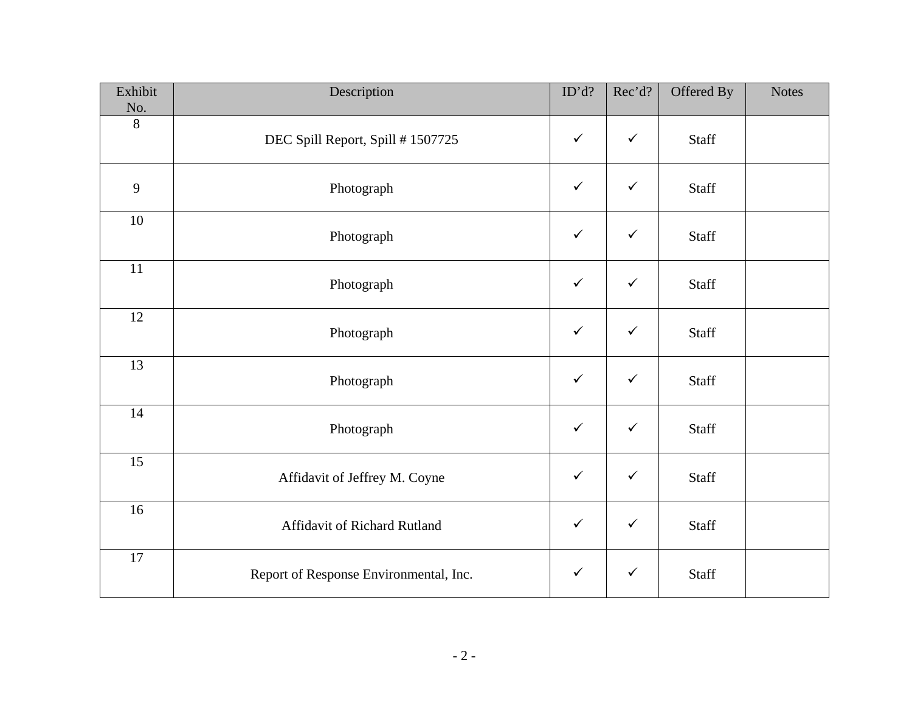| Exhibit<br>No.  | Description                            | ID'd?        | Rec'd?       | Offered By   | <b>Notes</b> |
|-----------------|----------------------------------------|--------------|--------------|--------------|--------------|
| 8               | DEC Spill Report, Spill # 1507725      | $\checkmark$ | $\checkmark$ | Staff        |              |
| 9               | Photograph                             | $\checkmark$ | $\checkmark$ | Staff        |              |
| $10\,$          | Photograph                             | $\checkmark$ | $\checkmark$ | Staff        |              |
| $\overline{11}$ | Photograph                             | $\checkmark$ | $\checkmark$ | <b>Staff</b> |              |
| 12              | Photograph                             | $\checkmark$ | $\checkmark$ | Staff        |              |
| 13              | Photograph                             | $\checkmark$ | $\checkmark$ | Staff        |              |
| 14              | Photograph                             | $\checkmark$ | $\checkmark$ | Staff        |              |
| 15              | Affidavit of Jeffrey M. Coyne          | $\checkmark$ | $\checkmark$ | Staff        |              |
| 16              | Affidavit of Richard Rutland           | $\checkmark$ | $\checkmark$ | <b>Staff</b> |              |
| $17\,$          | Report of Response Environmental, Inc. | $\checkmark$ | $\checkmark$ | Staff        |              |